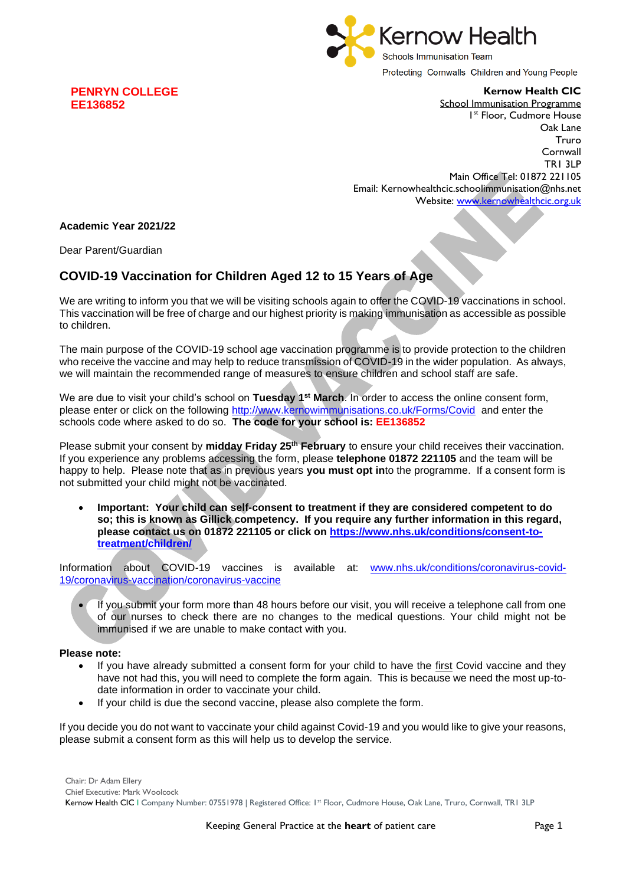

**Kernow Health CIC**

School Immunisation Programme 1 st Floor, Cudmore House Oak Lane Truro Cornwall TR1 3LP Main Office Tel: 01872 221105 Email: Kernowhealthcic.schoolimmunisation@nhs.net

Website: [www.kernowhealthcic.org.uk](http://www.kernowhealthcic.org.uk/)

## **Academic Year 2021/22**

**PENRYN COLLEGE**

**EE136852**

Dear Parent/Guardian

## **COVID-19 Vaccination for Children Aged 12 to 15 Years of Age**

We are writing to inform you that we will be visiting schools again to offer the COVID-19 vaccinations in school. This vaccination will be free of charge and our highest priority is making immunisation as accessible as possible to children.

The main purpose of the COVID-19 school age vaccination programme is to provide protection to the children who receive the vaccine and may help to reduce transmission of COVID-19 in the wider population. As always, we will maintain the recommended range of measures to ensure children and school staff are safe.

We are due to visit your child's school on **Tuesday 1st March**. In order to access the online consent form, please enter or click on the following<http://www.kernowimmunisations.co.uk/Forms/Covid> and enter the schools code where asked to do so. **The code for your school is: EE136852**

Please submit your consent by **midday Friday 25th February** to ensure your child receives their vaccination. If you experience any problems accessing the form, please **telephone 01872 221105** and the team will be happy to help. Please note that as in previous years **you must opt in**to the programme. If a consent form is not submitted your child might not be vaccinated.

• **Important: Your child can self-consent to treatment if they are considered competent to do so; this is known as Gillick competency. If you require any further information in this regard, please contact us on 01872 221105 or click on [https://www.nhs.uk/conditions/consent-to](https://www.nhs.uk/conditions/consent-to-treatment/children/)[treatment/children/](https://www.nhs.uk/conditions/consent-to-treatment/children/)**

Information about COVID-19 vaccines is available at: [www.nhs.uk/conditions/coronavirus-covid-](http://www.nhs.uk/conditions/coronavirus-covid-19/coronavirus-vaccination/coronavirus-vaccine)[19/coronavirus-vaccination/coronavirus-vaccine](http://www.nhs.uk/conditions/coronavirus-covid-19/coronavirus-vaccination/coronavirus-vaccine)

If you submit your form more than 48 hours before our visit, you will receive a telephone call from one of our nurses to check there are no changes to the medical questions. Your child might not be immunised if we are unable to make contact with you.

## **Please note:**

- If you have already submitted a consent form for your child to have the first Covid vaccine and they have not had this, you will need to complete the form again. This is because we need the most up-todate information in order to vaccinate your child.
- If your child is due the second vaccine, please also complete the form.

If you decide you do not want to vaccinate your child against Covid-19 and you would like to give your reasons, please submit a consent form as this will help us to develop the service.